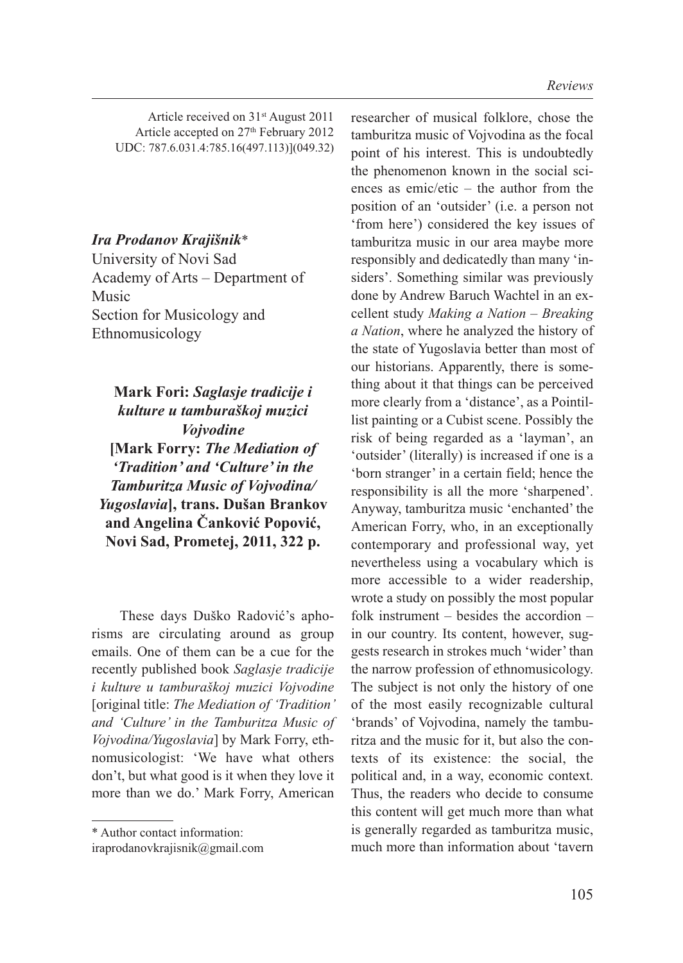Article received on 31st August 2011 Article accepted on 27<sup>th</sup> February 2012 UDC: 787.6.031.4:785.16(497.113)](049.32)

## *Ira Prodanov Krajišnik*\*

University of Novi Sad Academy of Arts – Department of Music Section for Musicology and Ethnomusicology

**Mark Fori:** *Saglasje tradicije i kulture u tamburaškoj muzici Vojvodine* **[Mark Forry:** *The Mediation of 'Tradition' and 'Culture' in the Tamburitza Music of Vojvodina/ Yugoslavia***], trans. Dušan Brankov and Angelina Čanković Popović, Novi Sad, Prometej, 2011, 322 p.**

These days Duško Radović's aphorisms are circulating around as group emails. One of them can be a cue for the recently published book *Saglasje tradicije i kulture u tamburaškoj muzici Vojvodine* [original title: *The Mediation of 'Tradition' and 'Culture' in the Tamburitza Music of Vojvodina/Yugoslavia*] by Mark Forry, ethnomusicologist: 'We have what others don't, but what good is it when they love it more than we do.' Mark Forry, American

researcher of musical folklore, chose the tamburitza music of Vojvodina as the focal point of his interest. This is undoubtedly the phenomenon known in the social sciences as emic/etic – the author from the position of an 'outsider' (i.e. a person not 'from here') considered the key issues of tamburitza music in our area maybe more responsibly and dedicatedly than many 'insiders'. Something similar was previously done by Andrew Baruch Wachtel in an excellent study *Making a Nation – Breaking a Nation*, where he analyzed the history of the state of Yugoslavia better than most of our historians. Apparently, there is something about it that things can be perceived more clearly from a 'distance', as a Pointillist painting or a Cubist scene. Possibly the risk of being regarded as a 'layman', an 'outsider' (literally) is increased if one is a 'born stranger' in a certain field; hence the responsibility is all the more 'sharpened'. Anyway, tamburitza music 'enchanted' the American Forry, who, in an exceptionally contemporary and professional way, yet nevertheless using a vocabulary which is more accessible to a wider readership, wrote a study on possibly the most popular folk instrument – besides the accordion – in our country. Its content, however, suggests research in strokes much 'wider' than the narrow profession of ethnomusicology. The subject is not only the history of one of the most easily recognizable cultural 'brands' of Vojvodina, namely the tamburitza and the music for it, but also the contexts of its existence: the social, the political and, in a way, economic context. Thus, the readers who decide to consume this content will get much more than what is generally regarded as tamburitza music, much more than information about 'tavern

<sup>\*</sup> Author contact information:

iraprodanovkrajisnik@gmail.com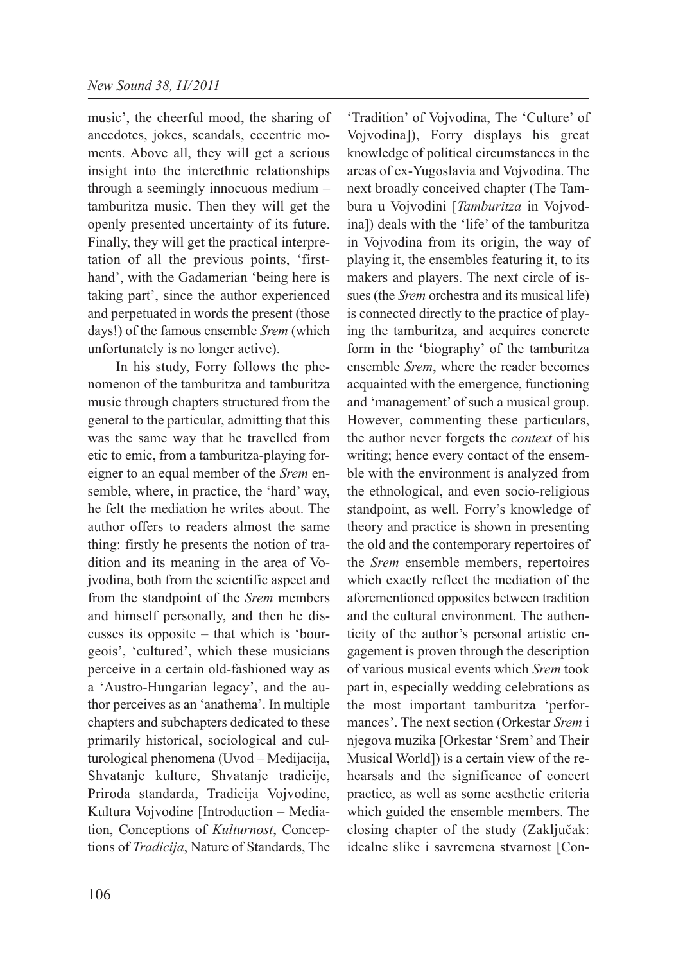music', the cheerful mood, the sharing of anecdotes, jokes, scandals, eccentric moments. Above all, they will get a serious insight into the interethnic relationships through a seemingly innocuous medium – tamburitza music. Then they will get the openly presented uncertainty of its future. Finally, they will get the practical interpretation of all the previous points, 'firsthand', with the Gadamerian 'being here is taking part', since the author experienced and perpetuated in words the present (those days!) of the famous ensemble *Srem* (which unfortunately is no longer active).

In his study, Forry follows the phenomenon of the tamburitza and tamburitza music through chapters structured from the general to the particular, admitting that this was the same way that he travelled from etic to emic, from a tamburitza-playing foreigner to an equal member of the *Srem* ensemble, where, in practice, the 'hard' way, he felt the mediation he writes about. The author offers to readers almost the same thing: firstly he presents the notion of tradition and its meaning in the area of Vojvodina, both from the scientific aspect and from the standpoint of the *Srem* members and himself personally, and then he discusses its opposite – that which is 'bourgeois', 'cultured', which these musicians perceive in a certain old-fashioned way as a 'Austro-Hungarian legacy', and the author perceives as an 'anathema'. In multiple chapters and subchapters dedicated to these primarily historical, sociological and culturological phenomena (Uvod – Medijacija, Shvatanje kulture, Shvatanje tradicije, Priroda standarda, Tradicija Vojvodine, Kultura Vojvodine [Introduction – Mediation, Conceptions of *Kulturnost*, Conceptions of *Tradicija*, Nature of Standards, The

'Tradition' of Vojvodina, The 'Culture' of Vojvodina]), Forry displays his great knowledge of political circumstances in the areas of ex-Yugoslavia and Vojvodina. The next broadly conceived chapter (The Tambura u Vojvodini [*Tamburitza* in Vojvodina]) deals with the 'life' of the tamburitza in Vojvodina from its origin, the way of playing it, the ensembles featuring it, to its makers and players. The next circle of issues (the *Srem* orchestra and its musical life) is connected directly to the practice of playing the tamburitza, and acquires concrete form in the 'biography' of the tamburitza ensemble *Srem*, where the reader becomes acquainted with the emergence, functioning and 'management' of such a musical group. However, commenting these particulars, the author never forgets the *context* of his writing; hence every contact of the ensemble with the environment is analyzed from the ethnological, and even socio-religious standpoint, as well. Forry's knowledge of theory and practice is shown in presenting the old and the contemporary repertoires of the *Srem* ensemble members, repertoires which exactly reflect the mediation of the aforementioned opposites between tradition and the cultural environment. The authenticity of the author's personal artistic engagement is proven through the description of various musical events which *Srem* took part in, especially wedding celebrations as the most important tamburitza 'performances'. The next section (Orkestar *Srem* i njegova muzika [Orkestar 'Srem' and Their Musical World]) is a certain view of the rehearsals and the significance of concert practice, as well as some aesthetic criteria which guided the ensemble members. The closing chapter of the study (Zaključak: idealne slike i savremena stvarnost [Con